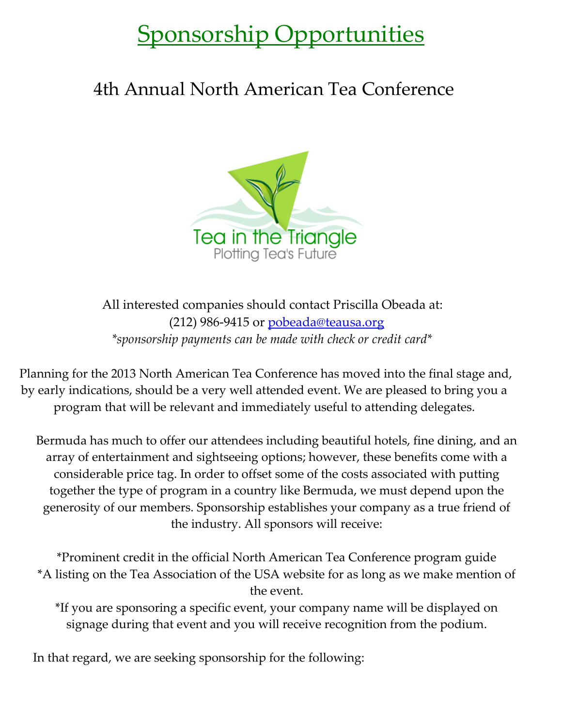## Sponsorship Opportunities

## 4th Annual North American Tea Conference



All interested companies should contact Priscilla Obeada at:  $(212)$  986-9415 or [pobeada@teausa.org](mailto:pobeada@teausa.org)  *\*sponsorship payments can be made with check or credit card\**

Planning for the 2013 North American Tea Conference has moved into the final stage and, by early indications, should be a very well attended event. We are pleased to bring you a program that will be relevant and immediately useful to attending delegates.

Bermuda has much to offer our attendees including beautiful hotels, fine dining, and an array of entertainment and sightseeing options; however, these benefits come with a considerable price tag. In order to offset some of the costs associated with putting together the type of program in a country like Bermuda, we must depend upon the generosity of our members. Sponsorship establishes your company as a true friend of the industry. All sponsors will receive:

\*Prominent credit in the official North American Tea Conference program guide \*A listing on the Tea Association of the USA website for as long as we make mention of the event.

\*If you are sponsoring a specific event, your company name will be displayed on signage during that event and you will receive recognition from the podium.

In that regard, we are seeking sponsorship for the following: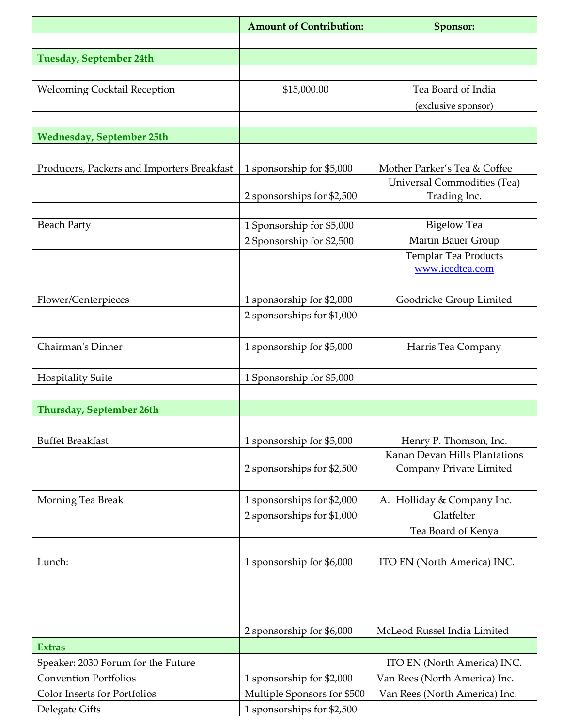|                                            | <b>Amount of Contribution:</b>                         | Sponsor:                      |
|--------------------------------------------|--------------------------------------------------------|-------------------------------|
|                                            |                                                        |                               |
| <b>Tuesday, September 24th</b>             |                                                        |                               |
|                                            |                                                        |                               |
| <b>Welcoming Cocktail Reception</b>        | \$15,000.00                                            | Tea Board of India            |
|                                            |                                                        | (exclusive sponsor)           |
|                                            |                                                        |                               |
| <b>Wednesday, September 25th</b>           |                                                        |                               |
|                                            |                                                        |                               |
| Producers, Packers and Importers Breakfast | 1 sponsorship for \$5,000                              | Mother Parker's Tea & Coffee  |
|                                            |                                                        | Universal Commodities (Tea)   |
|                                            | 2 sponsorships for \$2,500                             | Trading Inc.                  |
| <b>Beach Party</b>                         |                                                        | <b>Bigelow Tea</b>            |
|                                            | 1 Sponsorship for \$5,000<br>2 Sponsorship for \$2,500 | Martin Bauer Group            |
|                                            |                                                        | <b>Templar Tea Products</b>   |
|                                            |                                                        | www.icedtea.com               |
|                                            |                                                        |                               |
| Flower/Centerpieces                        | 1 sponsorship for \$2,000                              | Goodricke Group Limited       |
|                                            | 2 sponsorships for \$1,000                             |                               |
|                                            |                                                        |                               |
| Chairman's Dinner                          | 1 sponsorship for \$5,000                              | Harris Tea Company            |
|                                            |                                                        |                               |
| <b>Hospitality Suite</b>                   | 1 Sponsorship for \$5,000                              |                               |
|                                            |                                                        |                               |
| <b>Thursday, September 26th</b>            |                                                        |                               |
|                                            |                                                        |                               |
| <b>Buffet Breakfast</b>                    | 1 sponsorship for \$5,000                              | Henry P. Thomson, Inc.        |
|                                            |                                                        | Kanan Devan Hills Plantations |
|                                            | 2 sponsorships for \$2,500                             | Company Private Limited       |
|                                            |                                                        |                               |
| Morning Tea Break                          | 1 sponsorships for \$2,000                             | A. Holliday & Company Inc.    |
|                                            | 2 sponsorships for \$1,000                             | Glatfelter                    |
|                                            |                                                        | Tea Board of Kenya            |
|                                            |                                                        |                               |
| Lunch:                                     | 1 sponsorship for \$6,000                              | ITO EN (North America) INC.   |
|                                            |                                                        |                               |
|                                            |                                                        |                               |
|                                            |                                                        |                               |
|                                            | 2 sponsorship for \$6,000                              | McLeod Russel India Limited   |
| <b>Extras</b>                              |                                                        |                               |
| Speaker: 2030 Forum for the Future         |                                                        | ITO EN (North America) INC.   |
| <b>Convention Portfolios</b>               | 1 sponsorship for \$2,000                              | Van Rees (North America) Inc. |
| <b>Color Inserts for Portfolios</b>        | Multiple Sponsors for \$500                            | Van Rees (North America) Inc. |
| Delegate Gifts                             | 1 sponsorships for \$2,500                             |                               |